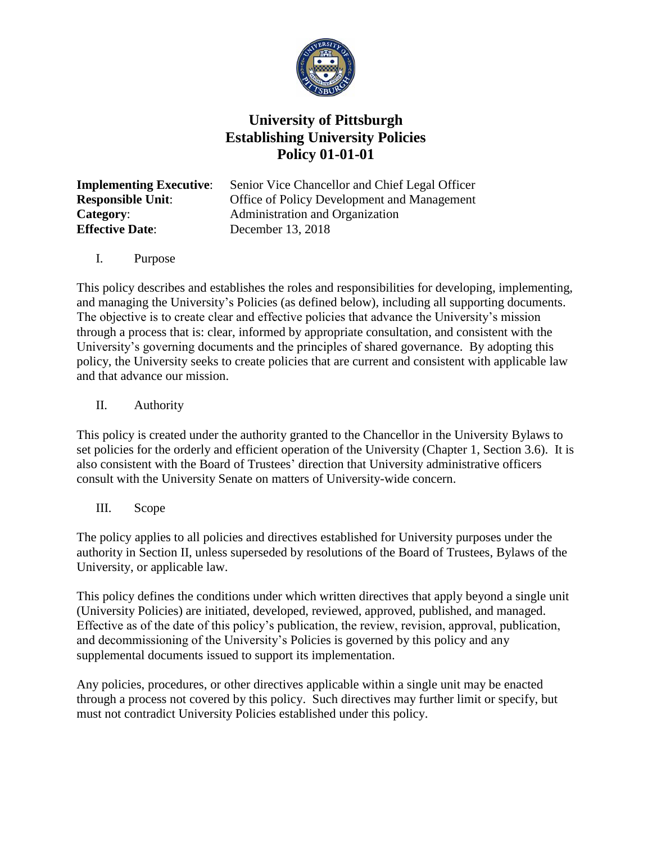

## **University of Pittsburgh Establishing University Policies Policy 01-01-01**

**Effective Date:** December 13, 2018

**Implementing Executive**: Senior Vice Chancellor and Chief Legal Officer **Responsible Unit**: Office of Policy Development and Management **Category:** Administration and Organization

I. Purpose

This policy describes and establishes the roles and responsibilities for developing, implementing, and managing the University's Policies (as defined below), including all supporting documents. The objective is to create clear and effective policies that advance the University's mission through a process that is: clear, informed by appropriate consultation, and consistent with the University's governing documents and the principles of shared governance. By adopting this policy, the University seeks to create policies that are current and consistent with applicable law and that advance our mission.

II. Authority

This policy is created under the authority granted to the Chancellor in the University Bylaws to set policies for the orderly and efficient operation of the University (Chapter 1, Section 3.6). It is also consistent with the Board of Trustees' direction that University administrative officers consult with the University Senate on matters of University-wide concern.

III. Scope

The policy applies to all policies and directives established for University purposes under the authority in Section II, unless superseded by resolutions of the Board of Trustees, Bylaws of the University, or applicable law.

This policy defines the conditions under which written directives that apply beyond a single unit (University Policies) are initiated, developed, reviewed, approved, published, and managed. Effective as of the date of this policy's publication, the review, revision, approval, publication, and decommissioning of the University's Policies is governed by this policy and any supplemental documents issued to support its implementation.

Any policies, procedures, or other directives applicable within a single unit may be enacted through a process not covered by this policy. Such directives may further limit or specify, but must not contradict University Policies established under this policy.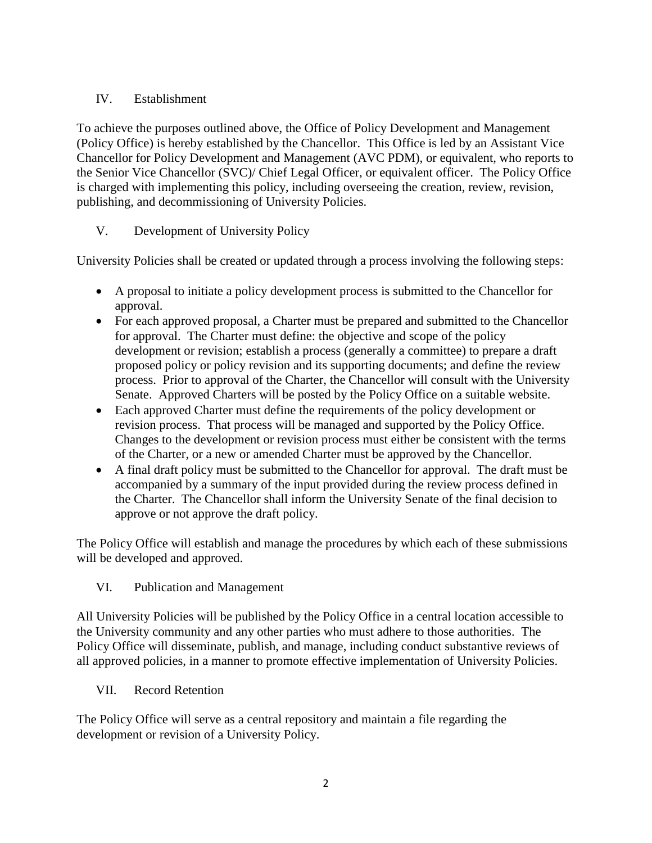## IV. Establishment

To achieve the purposes outlined above, the Office of Policy Development and Management (Policy Office) is hereby established by the Chancellor. This Office is led by an Assistant Vice Chancellor for Policy Development and Management (AVC PDM), or equivalent, who reports to the Senior Vice Chancellor (SVC)/ Chief Legal Officer, or equivalent officer. The Policy Office is charged with implementing this policy, including overseeing the creation, review, revision, publishing, and decommissioning of University Policies.

## V. Development of University Policy

University Policies shall be created or updated through a process involving the following steps:

- A proposal to initiate a policy development process is submitted to the Chancellor for approval.
- For each approved proposal, a Charter must be prepared and submitted to the Chancellor for approval. The Charter must define: the objective and scope of the policy development or revision; establish a process (generally a committee) to prepare a draft proposed policy or policy revision and its supporting documents; and define the review process. Prior to approval of the Charter, the Chancellor will consult with the University Senate. Approved Charters will be posted by the Policy Office on a suitable website.
- Each approved Charter must define the requirements of the policy development or revision process. That process will be managed and supported by the Policy Office. Changes to the development or revision process must either be consistent with the terms of the Charter, or a new or amended Charter must be approved by the Chancellor.
- A final draft policy must be submitted to the Chancellor for approval. The draft must be accompanied by a summary of the input provided during the review process defined in the Charter. The Chancellor shall inform the University Senate of the final decision to approve or not approve the draft policy.

The Policy Office will establish and manage the procedures by which each of these submissions will be developed and approved.

## VI. Publication and Management

All University Policies will be published by the Policy Office in a central location accessible to the University community and any other parties who must adhere to those authorities. The Policy Office will disseminate, publish, and manage, including conduct substantive reviews of all approved policies, in a manner to promote effective implementation of University Policies.

VII. Record Retention

The Policy Office will serve as a central repository and maintain a file regarding the development or revision of a University Policy.